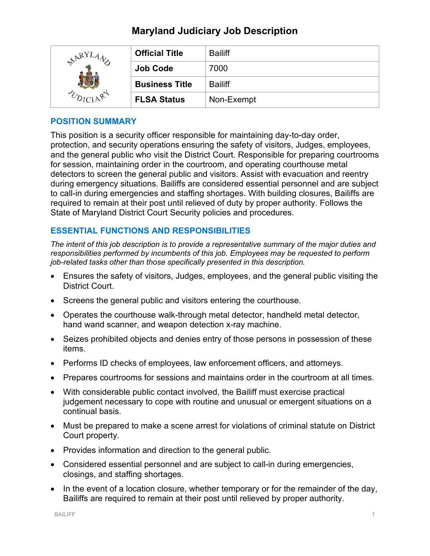# **Maryland Judiciary Job Description**

| ARYLA<br>$\cdot$ | <b>Official Title</b> | <b>Bailiff</b> |
|------------------|-----------------------|----------------|
|                  | <b>Job Code</b>       | 7000           |
|                  | <b>Business Title</b> | <b>Bailiff</b> |
|                  | <b>FLSA Status</b>    | Non-Exempt     |

#### **POSITION SUMMARY**

This position is a security officer responsible for maintaining day-to-day order, protection, and security operations ensuring the safety of visitors, Judges, employees, and the general public who visit the District Court. Responsible for preparing courtrooms for session, maintaining order in the courtroom, and operating courthouse metal detectors to screen the general public and visitors. Assist with evacuation and reentry during emergency situations. Bailiffs are considered essential personnel and are subject to call-in during emergencies and staffing shortages. With building closures, Bailiffs are required to remain at their post until relieved of duty by proper authority. Follows the State of Maryland District Court Security policies and procedures.

## **ESSENTIAL FUNCTIONS AND RESPONSIBILITIES**

*The intent of this job description is to provide a representative summary of the major duties and responsibilities performed by incumbents of this job. Employees may be requested to perform job-related tasks other than those specifically presented in this description.*

- Ensures the safety of visitors, Judges, employees, and the general public visiting the District Court.
- Screens the general public and visitors entering the courthouse.
- Operates the courthouse walk-through metal detector, handheld metal detector, hand wand scanner, and weapon detection x-ray machine.
- Seizes prohibited objects and denies entry of those persons in possession of these items.
- Performs ID checks of employees, law enforcement officers, and attorneys.
- Prepares courtrooms for sessions and maintains order in the courtroom at all times.
- With considerable public contact involved, the Bailiff must exercise practical judgement necessary to cope with routine and unusual or emergent situations on a continual basis.
- Must be prepared to make a scene arrest for violations of criminal statute on District Court property.
- Provides information and direction to the general public.
- Considered essential personnel and are subject to call-in during emergencies, closings, and staffing shortages.
- In the event of a location closure, whether temporary or for the remainder of the day, Bailiffs are required to remain at their post until relieved by proper authority.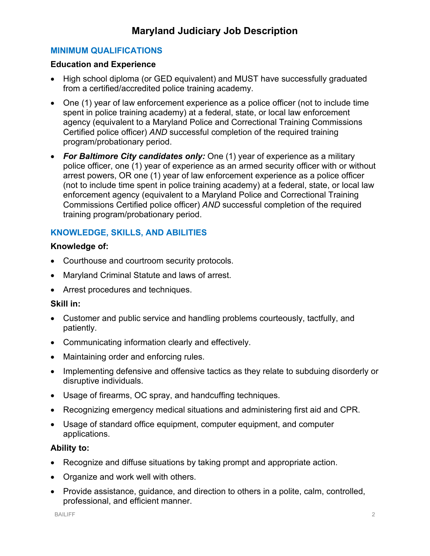## **MINIMUM QUALIFICATIONS**

#### **Education and Experience**

- High school diploma (or GED equivalent) and MUST have successfully graduated from a certified/accredited police training academy.
- One (1) year of law enforcement experience as a police officer (not to include time spent in police training academy) at a federal, state, or local law enforcement agency (equivalent to a Maryland Police and Correctional Training Commissions Certified police officer) *AND* successful completion of the required training program/probationary period.
- *For Baltimore City candidates only:* One (1) year of experience as a military police officer, one (1) year of experience as an armed security officer with or without arrest powers, OR one (1) year of law enforcement experience as a police officer (not to include time spent in police training academy) at a federal, state, or local law enforcement agency (equivalent to a Maryland Police and Correctional Training Commissions Certified police officer) *AND* successful completion of the required training program/probationary period.

# **KNOWLEDGE, SKILLS, AND ABILITIES**

## **Knowledge of:**

- Courthouse and courtroom security protocols.
- Maryland Criminal Statute and laws of arrest.
- Arrest procedures and techniques.

#### **Skill in:**

- Customer and public service and handling problems courteously, tactfully, and patiently.
- Communicating information clearly and effectively.
- Maintaining order and enforcing rules.
- Implementing defensive and offensive tactics as they relate to subduing disorderly or disruptive individuals.
- Usage of firearms, OC spray, and handcuffing techniques.
- Recognizing emergency medical situations and administering first aid and CPR.
- Usage of standard office equipment, computer equipment, and computer applications.

## **Ability to:**

- Recognize and diffuse situations by taking prompt and appropriate action.
- Organize and work well with others.
- Provide assistance, guidance, and direction to others in a polite, calm, controlled, professional, and efficient manner.